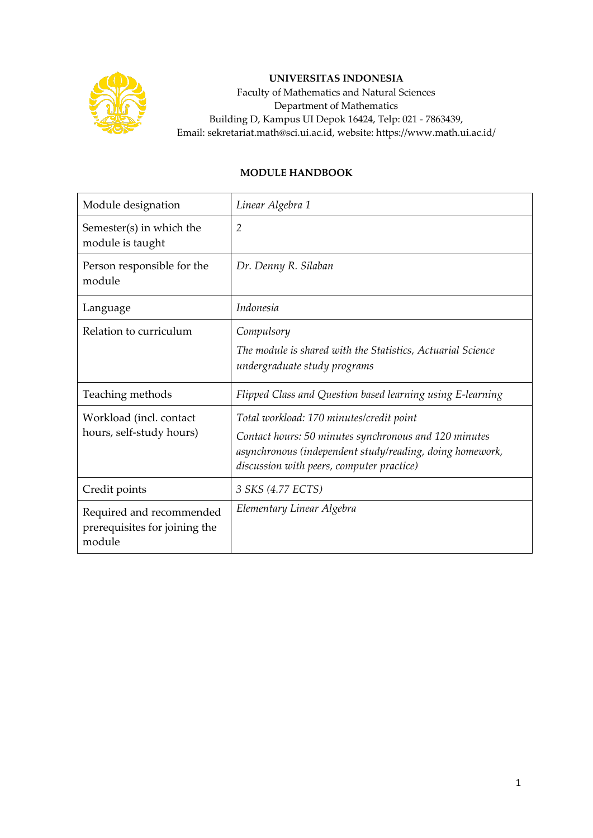

## **UNIVERSITAS INDONESIA**

Faculty of Mathematics and Natural Sciences Department of Mathematics Building D, Kampus UI Depok 16424, Telp: 021 - 7863439, Email: sekretariat.math@sci.ui.ac.id, website: https://www.math.ui.ac.id/

## **MODULE HANDBOOK**

| Module designation                                                  | Linear Algebra 1                                                                                                                                                                                           |
|---------------------------------------------------------------------|------------------------------------------------------------------------------------------------------------------------------------------------------------------------------------------------------------|
| Semester(s) in which the<br>module is taught                        | $\overline{2}$                                                                                                                                                                                             |
| Person responsible for the<br>module                                | Dr. Denny R. Silaban                                                                                                                                                                                       |
| Language                                                            | Indonesia                                                                                                                                                                                                  |
| Relation to curriculum                                              | Compulsory<br>The module is shared with the Statistics, Actuarial Science<br>undergraduate study programs                                                                                                  |
| Teaching methods                                                    | Flipped Class and Question based learning using E-learning                                                                                                                                                 |
| Workload (incl. contact<br>hours, self-study hours)                 | Total workload: 170 minutes/credit point<br>Contact hours: 50 minutes synchronous and 120 minutes<br>asynchronous (independent study/reading, doing homework,<br>discussion with peers, computer practice) |
| Credit points                                                       | 3 SKS (4.77 ECTS)                                                                                                                                                                                          |
| Required and recommended<br>prerequisites for joining the<br>module | Elementary Linear Algebra                                                                                                                                                                                  |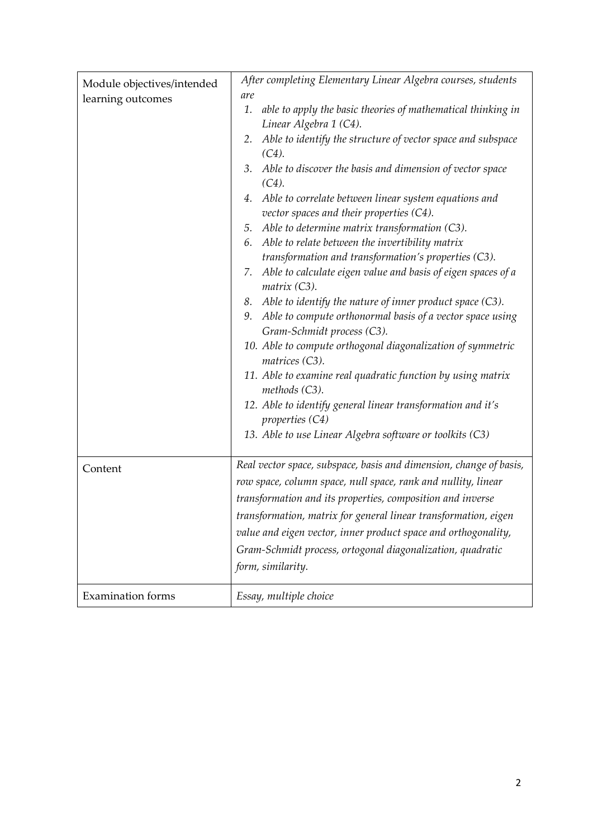|                            | After completing Elementary Linear Algebra courses, students       |  |  |  |  |
|----------------------------|--------------------------------------------------------------------|--|--|--|--|
| Module objectives/intended | are                                                                |  |  |  |  |
| learning outcomes          | 1.<br>able to apply the basic theories of mathematical thinking in |  |  |  |  |
|                            |                                                                    |  |  |  |  |
|                            | Linear Algebra 1 (C4).                                             |  |  |  |  |
|                            | Able to identify the structure of vector space and subspace<br>2.  |  |  |  |  |
|                            | $(C4)$ .                                                           |  |  |  |  |
|                            | Able to discover the basis and dimension of vector space<br>3.     |  |  |  |  |
|                            | $(C4)$ .                                                           |  |  |  |  |
|                            | Able to correlate between linear system equations and<br>4.        |  |  |  |  |
|                            | vector spaces and their properties (C4).                           |  |  |  |  |
|                            | Able to determine matrix transformation (C3).<br>5.                |  |  |  |  |
|                            | Able to relate between the invertibility matrix<br>6.              |  |  |  |  |
|                            | transformation and transformation's properties (C3).               |  |  |  |  |
|                            | Able to calculate eigen value and basis of eigen spaces of a<br>7. |  |  |  |  |
|                            | matrix (C3).                                                       |  |  |  |  |
|                            | Able to identify the nature of inner product space $(C3)$ .<br>8.  |  |  |  |  |
|                            | Able to compute orthonormal basis of a vector space using<br>9.    |  |  |  |  |
|                            | Gram-Schmidt process (C3).                                         |  |  |  |  |
|                            |                                                                    |  |  |  |  |
|                            | 10. Able to compute orthogonal diagonalization of symmetric        |  |  |  |  |
|                            | matrices (C3).                                                     |  |  |  |  |
|                            | 11. Able to examine real quadratic function by using matrix        |  |  |  |  |
|                            | methods (C3).                                                      |  |  |  |  |
|                            | 12. Able to identify general linear transformation and it's        |  |  |  |  |
|                            | properties $(C4)$                                                  |  |  |  |  |
|                            | 13. Able to use Linear Algebra software or toolkits (C3)           |  |  |  |  |
|                            |                                                                    |  |  |  |  |
| Content                    | Real vector space, subspace, basis and dimension, change of basis, |  |  |  |  |
|                            | row space, column space, null space, rank and nullity, linear      |  |  |  |  |
|                            |                                                                    |  |  |  |  |
|                            | transformation and its properties, composition and inverse         |  |  |  |  |
|                            | transformation, matrix for general linear transformation, eigen    |  |  |  |  |
|                            | value and eigen vector, inner product space and orthogonality,     |  |  |  |  |
|                            | Gram-Schmidt process, ortogonal diagonalization, quadratic         |  |  |  |  |
|                            | form, similarity.                                                  |  |  |  |  |
|                            |                                                                    |  |  |  |  |
| <b>Examination</b> forms   | Essay, multiple choice                                             |  |  |  |  |
|                            |                                                                    |  |  |  |  |